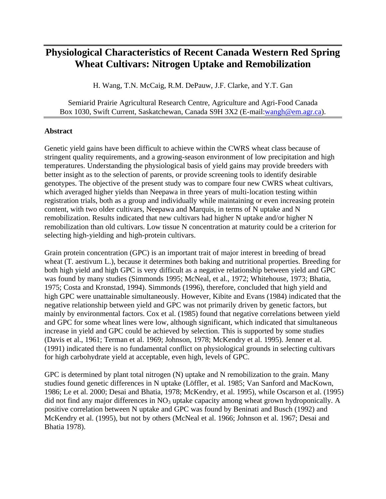# **Physiological Characteristics of Recent Canada Western Red Spring Wheat Cultivars: Nitrogen Uptake and Remobilization**

H. Wang, T.N. McCaig, R.M. DePauw, J.F. Clarke, and Y.T. Gan

Semiarid Prairie Agricultural Research Centre, Agriculture and Agri-Food Canada Box 1030, Swift Current, Saskatchewan, Canada S9H 3X2 (E-mail:wangh@em.agr.ca).

## **Abstract**

Genetic yield gains have been difficult to achieve within the CWRS wheat class because of stringent quality requirements, and a growing-season environment of low precipitation and high temperatures. Understanding the physiological basis of yield gains may provide breeders with better insight as to the selection of parents, or provide screening tools to identify desirable genotypes. The objective of the present study was to compare four new CWRS wheat cultivars, which averaged higher yields than Neepawa in three years of multi-location testing within registration trials, both as a group and individually while maintaining or even increasing protein content, with two older cultivars, Neepawa and Marquis, in terms of N uptake and N remobilization. Results indicated that new cultivars had higher N uptake and/or higher N remobilization than old cultivars. Low tissue N concentration at maturity could be a criterion for selecting high-yielding and high-protein cultivars.

Grain protein concentration (GPC) is an important trait of major interest in breeding of bread wheat (T. aestivum L.), because it determines both baking and nutritional properties. Breeding for both high yield and high GPC is very difficult as a negative relationship between yield and GPC was found by many studies (Simmonds 1995; McNeal, et al., 1972; Whitehouse, 1973; Bhatia, 1975; Costa and Kronstad, 1994). Simmonds (1996), therefore, concluded that high yield and high GPC were unattainable simultaneously. However, Kibite and Evans (1984) indicated that the negative relationship between yield and GPC was not primarily driven by genetic factors, but mainly by environmental factors. Cox et al. (1985) found that negative correlations between yield and GPC for some wheat lines were low, although significant, which indicated that simultaneous increase in yield and GPC could be achieved by selection. This is supported by some studies (Davis et al., 1961; Terman et al. 1969; Johnson, 1978; McKendry et al. 1995). Jenner et al. (1991) indicated there is no fundamental conflict on physiological grounds in selecting cultivars for high carbohydrate yield at acceptable, even high, levels of GPC.

GPC is determined by plant total nitrogen (N) uptake and N remobilization to the grain. Many studies found genetic differences in N uptake (Löffler, et al. 1985; Van Sanford and MacKown, 1986; Le et al. 2000; Desai and Bhatia, 1978; McKendry, et al. 1995), while Oscarson et al. (1995) did not find any major differences in  $NO<sub>3</sub>$  uptake capacity among wheat grown hydroponically. A positive correlation between N uptake and GPC was found by Beninati and Busch (1992) and McKendry et al. (1995), but not by others (McNeal et al. 1966; Johnson et al. 1967; Desai and Bhatia 1978).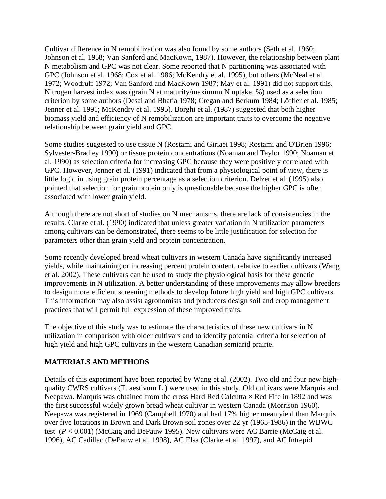Cultivar difference in N remobilization was also found by some authors (Seth et al. 1960; Johnson et al. 1968; Van Sanford and MacKown, 1987). However, the relationship between plant N metabolism and GPC was not clear. Some reported that N partitioning was associated with GPC (Johnson et al. 1968; Cox et al. 1986; McKendry et al. 1995), but others (McNeal et al. 1972; Woodruff 1972; Van Sanford and MacKown 1987; May et al. 1991) did not support this. Nitrogen harvest index was (grain N at maturity/maximum N uptake, %) used as a selection criterion by some authors (Desai and Bhatia 1978; Cregan and Berkum 1984; Löffler et al. 1985; Jenner et al. 1991; McKendry et al. 1995). Borghi et al. (1987) suggested that both higher biomass yield and efficiency of N remobilization are important traits to overcome the negative relationship between grain yield and GPC.

Some studies suggested to use tissue N (Rostami and Giriaei 1998; Rostami and O'Brien 1996; Sylvester-Bradley 1990) or tissue protein concentrations (Noaman and Taylor 1990; Noaman et al. 1990) as selection criteria for increasing GPC because they were positively correlated with GPC. However, Jenner et al. (1991) indicated that from a physiological point of view, there is little logic in using grain protein percentage as a selection criterion. Delzer et al. (1995) also pointed that selection for grain protein only is questionable because the higher GPC is often associated with lower grain yield.

Although there are not short of studies on N mechanisms, there are lack of consistencies in the results. Clarke et al. (1990) indicated that unless greater variation in N utilization parameters among cultivars can be demonstrated, there seems to be little justification for selection for parameters other than grain yield and protein concentration.

Some recently developed bread wheat cultivars in western Canada have significantly increased yields, while maintaining or increasing percent protein content, relative to earlier cultivars (Wang et al. 2002). These cultivars can be used to study the physiological basis for these genetic improvements in N utilization. A better understanding of these improvements may allow breeders to design more efficient screening methods to develop future high yield and high GPC cultivars. This information may also assist agronomists and producers design soil and crop management practices that will permit full expression of these improved traits.

The objective of this study was to estimate the characteristics of these new cultivars in N utilization in comparison with older cultivars and to identify potential criteria for selection of high yield and high GPC cultivars in the western Canadian semiarid prairie.

# **MATERIALS AND METHODS**

Details of this experiment have been reported by Wang et al. (2002). Two old and four new highquality CWRS cultivars (T. aestivum L.) were used in this study. Old cultivars were Marquis and Neepawa. Marquis was obtained from the cross Hard Red Calcutta  $\times$  Red Fife in 1892 and was the first successful widely grown bread wheat cultivar in western Canada (Morrison 1960). Neepawa was registered in 1969 (Campbell 1970) and had 17% higher mean yield than Marquis over five locations in Brown and Dark Brown soil zones over 22 yr (1965-1986) in the WBWC test (*P* < 0.001) (McCaig and DePauw 1995). New cultivars were AC Barrie (McCaig et al. 1996), AC Cadillac (DePauw et al. 1998), AC Elsa (Clarke et al. 1997), and AC Intrepid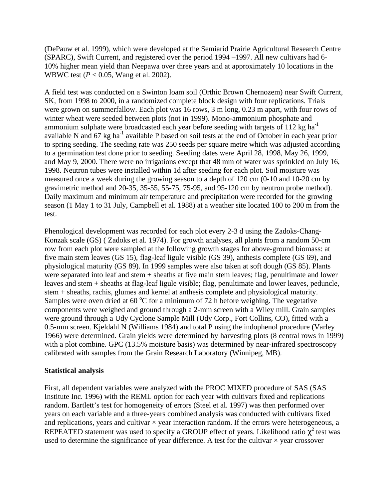(DePauw et al. 1999), which were developed at the Semiarid Prairie Agricultural Research Centre (SPARC), Swift Current, and registered over the period 1994 –1997. All new cultivars had 6- 10% higher mean yield than Neepawa over three years and at approximately 10 locations in the WBWC test (*P* < 0.05, Wang et al. 2002).

A field test was conducted on a Swinton loam soil (Orthic Brown Chernozem) near Swift Current, SK, from 1998 to 2000, in a randomized complete block design with four replications. Trials were grown on summerfallow. Each plot was 16 rows, 3 m long, 0.23 m apart, with four rows of winter wheat were seeded between plots (not in 1999). Mono-ammonium phosphate and ammonium sulphate were broadcasted each year before seeding with targets of 112 kg ha<sup>-1</sup> available N and 67 kg ha<sup>-1</sup> available P based on soil tests at the end of October in each year prior to spring seeding. The seeding rate was 250 seeds per square metre which was adjusted according to a germination test done prior to seeding. Seeding dates were April 28, 1998, May 26, 1999, and May 9, 2000. There were no irrigations except that 48 mm of water was sprinkled on July 16, 1998. Neutron tubes were installed within 1d after seeding for each plot. Soil moisture was measured once a week during the growing season to a depth of 120 cm (0-10 and 10-20 cm by gravimetric method and 20-35, 35-55, 55-75, 75-95, and 95-120 cm by neutron probe method). Daily maximum and minimum air temperature and precipitation were recorded for the growing season (1 May 1 to 31 July, Campbell et al. 1988) at a weather site located 100 to 200 m from the test.

Phenological development was recorded for each plot every 2-3 d using the Zadoks-Chang-Konzak scale (GS) ( Zadoks et al. 1974). For growth analyses, all plants from a random 50-cm row from each plot were sampled at the following growth stages for above-ground biomass: at five main stem leaves (GS 15), flag-leaf ligule visible (GS 39), anthesis complete (GS 69), and physiological maturity (GS 89). In 1999 samples were also taken at soft dough (GS 85). Plants were separated into leaf and stem + sheaths at five main stem leaves; flag, penultimate and lower leaves and stem + sheaths at flag-leaf ligule visible; flag, penultimate and lower leaves, peduncle, stem + sheaths, rachis, glumes and kernel at anthesis complete and physiological maturity. Samples were oven dried at 60  $^{\circ}$ C for a minimum of 72 h before weighing. The vegetative components were weighed and ground through a 2-mm screen with a Wiley mill. Grain samples were ground through a Udy Cyclone Sample Mill (Udy Corp., Fort Collins, CO), fitted with a 0.5-mm screen. Kjeldahl N (Williams 1984) and total P using the indophenol procedure (Varley 1966) were determined. Grain yields were determined by harvesting plots (8 central rows in 1999) with a plot combine. GPC (13.5% moisture basis) was determined by near-infrared spectroscopy calibrated with samples from the Grain Research Laboratory (Winnipeg, MB).

# **Statistical analysis**

First, all dependent variables were analyzed with the PROC MIXED procedure of SAS (SAS Institute Inc. 1996) with the REML option for each year with cultivars fixed and replications random. Bartlett's test for homogeneity of errors (Steel et al. 1997) was then performed over years on each variable and a three-years combined analysis was conducted with cultivars fixed and replications, years and cultivar  $\times$  year interaction random. If the errors were heterogeneous, a REPEATED statement was used to specify a GROUP effect of years. Likelihood ratio  $c^2$  test was used to determine the significance of year difference. A test for the cultivar  $\times$  year crossover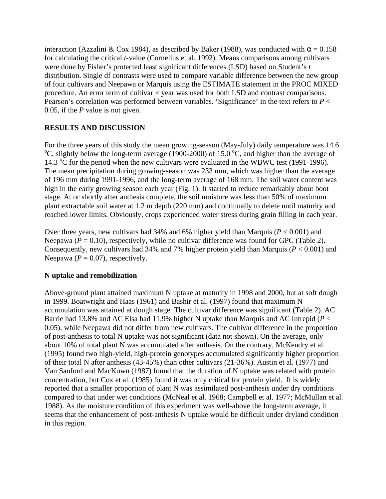interaction (Azzalini & Cox 1984), as described by Baker (1988), was conducted with  $\alpha = 0.158$ for calculating the critical *t*-value (Cornelius et al. 1992). Means comparisons among cultivars were done by Fisher's protected least significant differences (LSD) based on Student's *t*  distribution. Single df contrasts were used to compare variable difference between the new group of four cultivars and Neepawa or Marquis using the ESTIMATE statement in the PROC MIXED procedure. An error term of cultivar  $\times$  year was used for both LSD and contrast comparisons. Pearson's correlation was performed between variables. 'Significance' in the text refers to *P* < 0.05, if the *P* value is not given.

# **RESULTS AND DISCUSSION**

For the three years of this study the mean growing-season (May-July) daily temperature was 14.6 <sup>o</sup>C, slightly below the long-term average (1900-2000) of 15.0 <sup>o</sup>C, and higher than the average of 14.3  $\degree$ C for the period when the new cultivars were evaluated in the WBWC test (1991-1996). The mean precipitation during growing-season was 233 mm, which was higher than the average of 196 mm during 1991-1996, and the long-term average of 168 mm. The soil water content was high in the early growing season each year (Fig. 1). It started to reduce remarkably about boot stage. At or shortly after anthesis complete, the soil moisture was less than 50% of maximum plant extractable soil water at 1.2 m depth (220 mm) and continually to delete until maturity and reached lower limits. Obviously, crops experienced water stress during grain filling in each year.

Over three years, new cultivars had 34% and 6% higher yield than Marquis (*P* < 0.001) and Neepawa ( $P = 0.10$ ), respectively, while no cultivar difference was found for GPC (Table 2). Consequently, new cultivars had 34% and 7% higher protein yield than Marquis (*P* < 0.001) and Neepawa ( $P = 0.07$ ), respectively.

# **N uptake and remobilization**

Above-ground plant attained maximum N uptake at maturity in 1998 and 2000, but at soft dough in 1999. Boatwright and Haas (1961) and Bashir et al. (1997) found that maximum N accumulation was attained at dough stage. The cultivar difference was significant (Table 2). AC Barrie had 13.8% and AC Elsa had 11.9% higher N uptake than Marquis and AC Intrepid (*P* < 0.05), while Neepawa did not differ from new cultivars. The cultivar difference in the proportion of post-anthesis to total N uptake was not significant (data not shown). On the average, only about 10% of total plant N was accumulated after anthesis. On the contrary, McKendry et al. (1995) found two high-yield, high-protein genotypes accumulated significantly higher proportion of their total N after anthesis (43-45%) than other cultivars (21-36%). Austin et al. (1977) and Van Sanford and MacKown (1987) found that the duration of N uptake was related with protein concentration, but Cox et al. (1985) found it was only critical for protein yield. It is widely reported that a smaller proportion of plant N was assimilated post-anthesis under dry conditions compared to that under wet conditions (McNeal et al. 1968; Campbell et al. 1977; McMullan et al. 1988). As the moisture condition of this experiment was well-above the long-term average, it seems that the enhancement of post-anthesis N uptake would be difficult under dryland condition in this region.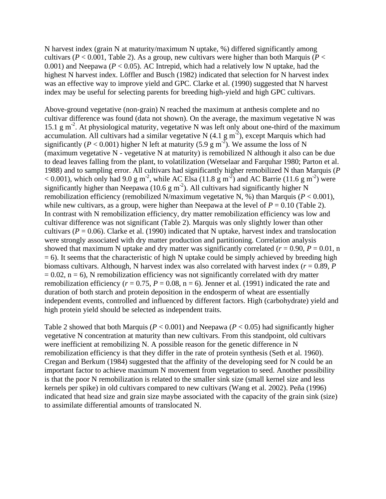N harvest index (grain N at maturity/maximum N uptake, %) differed significantly among cultivars ( $P < 0.001$ , Table 2). As a group, new cultivars were higher than both Marquis ( $P <$ 0.001) and Neepawa ( $P < 0.05$ ). AC Intrepid, which had a relatively low N uptake, had the highest N harvest index. Löffler and Busch (1982) indicated that selection for N harvest index was an effective way to improve yield and GPC. Clarke et al. (1990) suggested that N harvest index may be useful for selecting parents for breeding high-yield and high GPC cultivars.

Above-ground vegetative (non-grain) N reached the maximum at anthesis complete and no cultivar difference was found (data not shown). On the average, the maximum vegetative N was 15.1 g m<sup>-2</sup>. At physiological maturity, vegetative N was left only about one-third of the maximum accumulation. All cultivars had a similar vegetative N  $(4.1 \text{ g m}^2)$ , except Marquis which had significantly ( $P < 0.001$ ) higher N left at maturity (5.9 g m<sup>-2</sup>). We assume the loss of N (maximum vegetative N - vegetative N at maturity) is remobilized N although it also can be due to dead leaves falling from the plant, to volatilization (Wetselaar and Farquhar 1980; Parton et al. 1988) and to sampling error. All cultivars had significantly higher remobilized N than Marquis (*P* < 0.001), which only had 9.0 g m<sup>-2</sup>, while AC Elsa (11.8 g m<sup>-2</sup>) and AC Barrie (11.6 g m<sup>-2</sup>) were significantly higher than Neepawa (10.6 g m<sup>-2</sup>). All cultivars had significantly higher N remobilization efficiency (remobilized N/maximum vegetative N, %) than Marquis ( $P < 0.001$ ), while new cultivars, as a group, were higher than Neepawa at the level of  $P = 0.10$  (Table 2). In contrast with N remobilization efficiency, dry matter remobilization efficiency was low and cultivar difference was not significant (Table 2). Marquis was only slightly lower than other cultivars ( $P = 0.06$ ). Clarke et al. (1990) indicated that N uptake, harvest index and translocation were strongly associated with dry matter production and partitioning. Correlation analysis showed that maximum N uptake and dry matter was significantly correlated  $(r = 0.90, P = 0.01, n$  $= 6$ ). It seems that the characteristic of high N uptake could be simply achieved by breeding high biomass cultivars. Although, N harvest index was also correlated with harvest index (*r* = 0.89, *P*  $= 0.02$ ,  $n = 6$ ), N remobilization efficiency was not significantly correlated with dry matter remobilization efficiency ( $r = 0.75$ ,  $P = 0.08$ ,  $n = 6$ ). Jenner et al. (1991) indicated the rate and duration of both starch and protein deposition in the endosperm of wheat are essentially independent events, controlled and influenced by different factors. High (carbohydrate) yield and high protein yield should be selected as independent traits.

Table 2 showed that both Marquis ( $P < 0.001$ ) and Neepawa ( $P < 0.05$ ) had significantly higher vegetative N concentration at maturity than new cultivars. From this standpoint, old cultivars were inefficient at remobilizing N. A possible reason for the genetic difference in N remobilization efficiency is that they differ in the rate of protein synthesis (Seth et al. 1960). Cregan and Berkum (1984) suggested that the affinity of the developing seed for N could be an important factor to achieve maximum N movement from vegetation to seed. Another possibility is that the poor N remobilization is related to the smaller sink size (small kernel size and less kernels per spike) in old cultivars compared to new cultivars (Wang et al. 2002). Peña (1996) indicated that head size and grain size maybe associated with the capacity of the grain sink (size) to assimilate differential amounts of translocated N.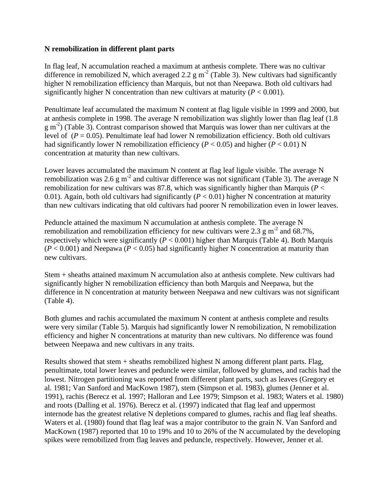## **N remobilization in different plant parts**

In flag leaf, N accumulation reached a maximum at anthesis complete. There was no cultivar difference in remobilized N, which averaged 2.2  $\text{g m}^2$  (Table 3). New cultivars had significantly higher N remobilization efficiency than Marquis, but not than Neepawa. Both old cultivars had significantly higher N concentration than new cultivars at maturity  $(P < 0.001)$ .

Penultimate leaf accumulated the maximum N content at flag ligule visible in 1999 and 2000, but at anthesis complete in 1998. The average N remobilization was slightly lower than flag leaf (1.8  $g$  m<sup>-2</sup>) (Table 3). Contrast comparison showed that Marquis was lower than ner cultivars at the level of  $(P = 0.05)$ . Penultimate leaf had lower N remobilization efficiency. Both old cultivars had significantly lower N remobilization efficiency ( $P < 0.05$ ) and higher ( $P < 0.01$ ) N concentration at maturity than new cultivars.

Lower leaves accumulated the maximum N content at flag leaf ligule visible. The average N remobilization was 2.6 g m<sup>-2</sup> and cultivar difference was not significant (Table 3). The average N remobilization for new cultivars was 87.8, which was significantly higher than Marquis ( $P <$ 0.01). Again, both old cultivars had significantly  $(P < 0.01)$  higher N concentration at maturity than new cultivars indicating that old cultivars had poorer N remobilization even in lower leaves.

Peduncle attained the maximum N accumulation at anthesis complete. The average N remobilization and remobilization efficiency for new cultivars were 2.3  $\text{g m}^2$  and 68.7%, respectively which were significantly  $(P < 0.001)$  higher than Marquis (Table 4). Both Marquis  $(P < 0.001)$  and Neepawa ( $P < 0.05$ ) had significantly higher N concentration at maturity than new cultivars.

Stem + sheaths attained maximum N accumulation also at anthesis complete. New cultivars had significantly higher N remobilization efficiency than both Marquis and Neepawa, but the difference in N concentration at maturity between Neepawa and new cultivars was not significant (Table 4).

Both glumes and rachis accumulated the maximum N content at anthesis complete and results were very similar (Table 5). Marquis had significantly lower N remobilization, N remobilization efficiency and higher N concentrations at maturity than new cultivars. No difference was found between Neepawa and new cultivars in any traits.

Results showed that stem + sheaths remobilized highest N among different plant parts. Flag, penultimate, total lower leaves and peduncle were similar, followed by glumes, and rachis had the lowest. Nitrogen partitioning was reported from different plant parts, such as leaves (Gregory et al. 1981; Van Sanford and MacKown 1987), stem (Simpson et al. 1983), glumes (Jenner et al. 1991), rachis (Berecz et al. 1997; Halloran and Lee 1979; Simpson et al. 1983; Waters et al. 1980) and roots (Dalling et al. 1976). Berecz et al. (1997) indicated that flag leaf and uppermost internode has the greatest relative N depletions compared to glumes, rachis and flag leaf sheaths. Waters et al. (1980) found that flag leaf was a major contributor to the grain N. Van Sanford and MacKown (1987) reported that 10 to 19% and 10 to 26% of the N accumulated by the developing spikes were remobilized from flag leaves and peduncle, respectively. However, Jenner et al.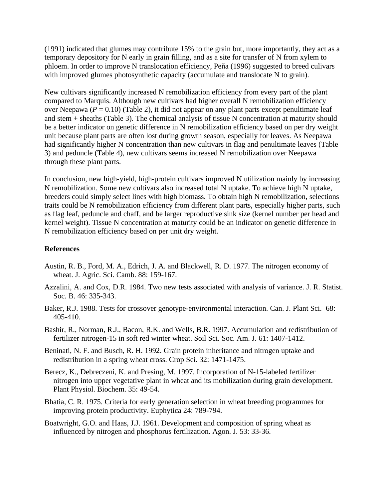(1991) indicated that glumes may contribute 15% to the grain but, more importantly, they act as a temporary depository for N early in grain filling, and as a site for transfer of N from xylem to phloem. In order to improve N translocation efficiency, Peña (1996) suggested to breed culivars with improved glumes photosynthetic capacity (accumulate and translocate N to grain).

New cultivars significantly increased N remobilization efficiency from every part of the plant compared to Marquis. Although new cultivars had higher overall N remobilization efficiency over Neepawa ( $P = 0.10$ ) (Table 2), it did not appear on any plant parts except penultimate leaf and stem + sheaths (Table 3). The chemical analysis of tissue N concentration at maturity should be a better indicator on genetic difference in N remobilization efficiency based on per dry weight unit because plant parts are often lost during growth season, especially for leaves. As Neepawa had significantly higher N concentration than new cultivars in flag and penultimate leaves (Table 3) and peduncle (Table 4), new cultivars seems increased N remobilization over Neepawa through these plant parts.

In conclusion, new high-yield, high-protein cultivars improved N utilization mainly by increasing N remobilization. Some new cultivars also increased total N uptake. To achieve high N uptake, breeders could simply select lines with high biomass. To obtain high N remobilization, selections traits could be N remobilization efficiency from different plant parts, especially higher parts, such as flag leaf, peduncle and chaff, and be larger reproductive sink size (kernel number per head and kernel weight). Tissue N concentration at maturity could be an indicator on genetic difference in N remobilization efficiency based on per unit dry weight.

## **References**

- Austin, R. B., Ford, M. A., Edrich, J. A. and Blackwell, R. D. 1977. The nitrogen economy of wheat. J. Agric. Sci. Camb. 88: 159-167.
- Azzalini, A. and Cox, D.R. 1984. Two new tests associated with analysis of variance. J. R. Statist. Soc. B. 46: 335-343.
- Baker, R.J. 1988. Tests for crossover genotype-environmental interaction. Can. J. Plant Sci. 68: 405-410.
- Bashir, R., Norman, R.J., Bacon, R.K. and Wells, B.R. 1997. Accumulation and redistribution of fertilizer nitrogen-15 in soft red winter wheat. Soil Sci. Soc. Am. J. 61: 1407-1412.
- Beninati, N. F. and Busch, R. H. 1992. Grain protein inheritance and nitrogen uptake and redistribution in a spring wheat cross. Crop Sci. 32: 1471-1475.
- Berecz, K., Debreczeni, K. and Presing, M. 1997. Incorporation of N-15-labeled fertilizer nitrogen into upper vegetative plant in wheat and its mobilization during grain development. Plant Physiol. Biochem. 35: 49-54.
- Bhatia, C. R. 1975. Criteria for early generation selection in wheat breeding programmes for improving protein productivity. Euphytica 24: 789-794.
- Boatwright, G.O. and Haas, J.J. 1961. Development and composition of spring wheat as influenced by nitrogen and phosphorus fertilization. Agon. J. 53: 33-36.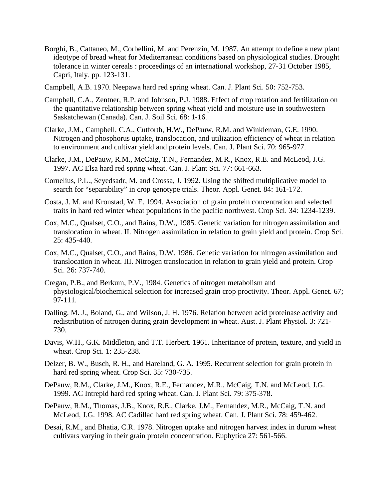- Borghi, B., Cattaneo, M., Corbellini, M. and Perenzin, M. 1987. An attempt to define a new plant ideotype of bread wheat for Mediterranean conditions based on physiological studies. Drought tolerance in winter cereals : proceedings of an international workshop, 27-31 October 1985, Capri, Italy. pp. 123-131.
- Campbell, A.B. 1970. Neepawa hard red spring wheat. Can. J. Plant Sci. 50: 752-753.
- Campbell, C.A., Zentner, R.P. and Johnson, P.J. 1988. Effect of crop rotation and fertilization on the quantitative relationship between spring wheat yield and moisture use in southwestern Saskatchewan (Canada). Can. J. Soil Sci. 68: 1-16.
- Clarke, J.M., Campbell, C.A., Cutforth, H.W., DePauw, R.M. and Winkleman, G.E. 1990. Nitrogen and phosphorus uptake, translocation, and utilization efficiency of wheat in relation to environment and cultivar yield and protein levels. Can. J. Plant Sci. 70: 965-977.
- Clarke, J.M., DePauw, R.M., McCaig, T.N., Fernandez, M.R., Knox, R.E. and McLeod, J.G. 1997. AC Elsa hard red spring wheat. Can. J. Plant Sci. 77: 661-663.
- Cornelius, P.L., Seyedsadr, M. and Crossa, J. 1992. Using the shifted multiplicative model to search for "separability" in crop genotype trials. Theor. Appl. Genet. 84: 161-172.
- Costa, J. M. and Kronstad, W. E. 1994. Association of grain protein concentration and selected traits in hard red winter wheat populations in the pacific northwest. Crop Sci. 34: 1234-1239.
- Cox, M.C., Qualset, C.O., and Rains, D.W., 1985. Genetic variation for nitrogen assimilation and translocation in wheat. II. Nitrogen assimilation in relation to grain yield and protein. Crop Sci. 25: 435-440.
- Cox, M.C., Qualset, C.O., and Rains, D.W. 1986. Genetic variation for nitrogen assimilation and translocation in wheat. III. Nitrogen translocation in relation to grain yield and protein. Crop Sci. 26: 737-740.
- Cregan, P.B., and Berkum, P.V., 1984. Genetics of nitrogen metabolism and physiological/biochemical selection for increased grain crop proctivity. Theor. Appl. Genet. 67; 97-111.
- Dalling, M. J., Boland, G., and Wilson, J. H. 1976. Relation between acid proteinase activity and redistribution of nitrogen during grain development in wheat. Aust. J. Plant Physiol. 3: 721- 730.
- Davis, W.H., G.K. Middleton, and T.T. Herbert. 1961. Inheritance of protein, texture, and yield in wheat. Crop Sci. 1: 235-238.
- Delzer, B. W., Busch, R. H., and Hareland, G. A. 1995. Recurrent selection for grain protein in hard red spring wheat. Crop Sci. 35: 730-735.
- DePauw, R.M., Clarke, J.M., Knox, R.E., Fernandez, M.R., McCaig, T.N. and McLeod, J.G. 1999. AC Intrepid hard red spring wheat. Can. J. Plant Sci. 79: 375-378.
- DePauw, R.M., Thomas, J.B., Knox, R.E., Clarke, J.M., Fernandez, M.R., McCaig, T.N. and McLeod, J.G. 1998. AC Cadillac hard red spring wheat. Can. J. Plant Sci. 78: 459-462.
- Desai, R.M., and Bhatia, C.R. 1978. Nitrogen uptake and nitrogen harvest index in durum wheat cultivars varying in their grain protein concentration. Euphytica 27: 561-566.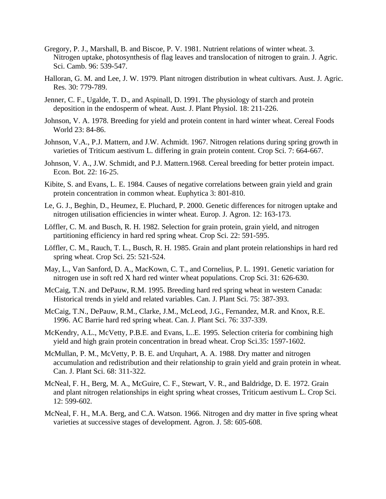- Gregory, P. J., Marshall, B. and Biscoe, P. V. 1981. Nutrient relations of winter wheat. 3. Nitrogen uptake, photosynthesis of flag leaves and translocation of nitrogen to grain. J. Agric. Sci. Camb. 96: 539-547.
- Halloran, G. M. and Lee, J. W. 1979. Plant nitrogen distribution in wheat cultivars. Aust. J. Agric. Res. 30: 779-789.
- Jenner, C. F., Ugalde, T. D., and Aspinall, D. 1991. The physiology of starch and protein deposition in the endosperm of wheat. Aust. J. Plant Physiol. 18: 211-226.
- Johnson, V. A. 1978. Breeding for yield and protein content in hard winter wheat. Cereal Foods World 23: 84-86.
- Johnson, V.A., P.J. Mattern, and J.W. Achmidt. 1967. Nitrogen relations during spring growth in varieties of Triticum aestivum L. differing in grain protein content. Crop Sci. 7: 664-667.
- Johnson, V. A., J.W. Schmidt, and P.J. Mattern.1968. Cereal breeding for better protein impact. Econ. Bot. 22: 16-25.
- Kibite, S. and Evans, L. E. 1984. Causes of negative correlations between grain yield and grain protein concentration in common wheat. Euphytica 3: 801-810.
- Le, G. J., Beghin, D., Heumez, E. Pluchard, P. 2000. Genetic differences for nitrogen uptake and nitrogen utilisation efficiencies in winter wheat. Europ. J. Agron. 12: 163-173.
- Löffler, C. M. and Busch, R. H. 1982. Selection for grain protein, grain yield, and nitrogen partitioning efficiency in hard red spring wheat. Crop Sci. 22: 591-595.
- Löffler, C. M., Rauch, T. L., Busch, R. H. 1985. Grain and plant protein relationships in hard red spring wheat. Crop Sci. 25: 521-524.
- May, L., Van Sanford, D. A., MacKown, C. T., and Cornelius, P. L. 1991. Genetic variation for nitrogen use in soft red X hard red winter wheat populations. Crop Sci. 31: 626-630.
- McCaig, T.N. and DePauw, R.M. 1995. Breeding hard red spring wheat in western Canada: Historical trends in yield and related variables. Can. J. Plant Sci. 75: 387-393.
- McCaig, T.N., DePauw, R.M., Clarke, J.M., McLeod, J.G., Fernandez, M.R. and Knox, R.E. 1996. AC Barrie hard red spring wheat. Can. J. Plant Sci. 76: 337-339.
- McKendry, A.L., McVetty, P.B.E. and Evans, L..E. 1995. Selection criteria for combining high yield and high grain protein concentration in bread wheat. Crop Sci.35: 1597-1602.
- McMullan, P. M., McVetty, P. B. E. and Urquhart, A. A. 1988. Dry matter and nitrogen accumulation and redistribution and their relationship to grain yield and grain protein in wheat. Can. J. Plant Sci. 68: 311-322.
- McNeal, F. H., Berg, M. A., McGuire, C. F., Stewart, V. R., and Baldridge, D. E. 1972. Grain and plant nitrogen relationships in eight spring wheat crosses, Triticum aestivum L. Crop Sci. 12: 599-602.
- McNeal, F. H., M.A. Berg, and C.A. Watson. 1966. Nitrogen and dry matter in five spring wheat varieties at successive stages of development. Agron. J. 58: 605-608.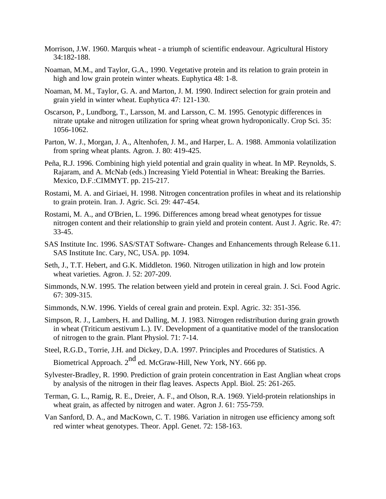- Morrison, J.W. 1960. Marquis wheat a triumph of scientific endeavour. Agricultural History 34:182-188.
- Noaman, M.M., and Taylor, G.A., 1990. Vegetative protein and its relation to grain protein in high and low grain protein winter wheats. Euphytica 48: 1-8.
- Noaman, M. M., Taylor, G. A. and Marton, J. M. 1990. Indirect selection for grain protein and grain yield in winter wheat. Euphytica 47: 121-130.
- Oscarson, P., Lundborg, T., Larsson, M. and Larsson, C. M. 1995. Genotypic differences in nitrate uptake and nitrogen utilization for spring wheat grown hydroponically. Crop Sci. 35: 1056-1062.
- Parton, W. J., Morgan, J. A., Altenhofen, J. M., and Harper, L. A. 1988. Ammonia volatilization from spring wheat plants. Agron. J. 80: 419-425.
- Peña, R.J. 1996. Combining high yield potential and grain quality in wheat. In MP. Reynolds, S. Rajaram, and A. McNab (eds.) Increasing Yield Potential in Wheat: Breaking the Barries. Mexico, D.F.:CIMMYT. pp. 215-217.
- Rostami, M. A. and Giriaei, H. 1998. Nitrogen concentration profiles in wheat and its relationship to grain protein. Iran. J. Agric. Sci. 29: 447-454.
- Rostami, M. A., and O'Brien, L. 1996. Differences among bread wheat genotypes for tissue nitrogen content and their relationship to grain yield and protein content. Aust J. Agric. Re. 47: 33-45.
- SAS Institute Inc. 1996. SAS/STAT Software- Changes and Enhancements through Release 6.11. SAS Institute Inc. Cary, NC, USA. pp. 1094.
- Seth, J., T.T. Hebert, and G.K. Middleton. 1960. Nitrogen utilization in high and low protein wheat varieties. Agron. J. 52: 207-209.
- Simmonds, N.W. 1995. The relation between yield and protein in cereal grain. J. Sci. Food Agric. 67: 309-315.
- Simmonds, N.W. 1996. Yields of cereal grain and protein. Expl. Agric. 32: 351-356.
- Simpson, R. J., Lambers, H. and Dalling, M. J. 1983. Nitrogen redistribution during grain growth in wheat (Triticum aestivum L.). IV. Development of a quantitative model of the translocation of nitrogen to the grain. Plant Physiol. 71: 7-14.
- Steel, R.G.D., Torrie, J.H. and Dickey, D.A. 1997. Principles and Procedures of Statistics. A Biometrical Approach.  $2^{nd}$  ed. McGraw-Hill, New York, NY. 666 pp.
- Sylvester-Bradley, R. 1990. Prediction of grain protein concentration in East Anglian wheat crops by analysis of the nitrogen in their flag leaves. Aspects Appl. Biol. 25: 261-265.
- Terman, G. L., Ramig, R. E., Dreier, A. F., and Olson, R.A. 1969. Yield-protein relationships in wheat grain, as affected by nitrogen and water. Agron J. 61: 755-759.
- Van Sanford, D. A., and MacKown, C. T. 1986. Variation in nitrogen use efficiency among soft red winter wheat genotypes. Theor. Appl. Genet. 72: 158-163.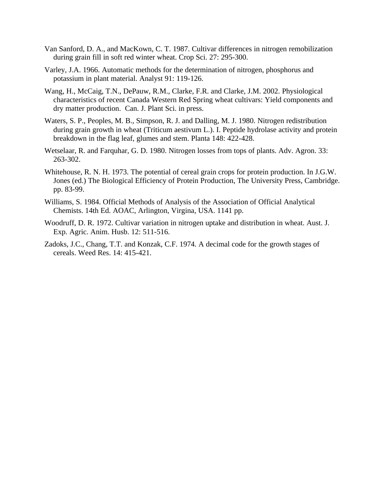- Van Sanford, D. A., and MacKown, C. T. 1987. Cultivar differences in nitrogen remobilization during grain fill in soft red winter wheat. Crop Sci. 27: 295-300.
- Varley, J.A. 1966. Automatic methods for the determination of nitrogen, phosphorus and potassium in plant material. Analyst 91: 119-126.
- Wang, H., McCaig, T.N., DePauw, R.M., Clarke, F.R. and Clarke, J.M. 2002. Physiological characteristics of recent Canada Western Red Spring wheat cultivars: Yield components and dry matter production. Can. J. Plant Sci. in press.
- Waters, S. P., Peoples, M. B., Simpson, R. J. and Dalling, M. J. 1980. Nitrogen redistribution during grain growth in wheat (Triticum aestivum L.). I. Peptide hydrolase activity and protein breakdown in the flag leaf, glumes and stem. Planta 148: 422-428.
- Wetselaar, R. and Farquhar, G. D. 1980. Nitrogen losses from tops of plants. Adv. Agron. 33: 263-302.
- Whitehouse, R. N. H. 1973. The potential of cereal grain crops for protein production. In J.G.W. Jones (ed.) The Biological Efficiency of Protein Production, The University Press, Cambridge. pp. 83-99.
- Williams, S. 1984. Official Methods of Analysis of the Association of Official Analytical Chemists. 14th Ed. AOAC, Arlington, Virgina, USA. 1141 pp.
- Woodruff, D. R. 1972. Cultivar variation in nitrogen uptake and distribution in wheat. Aust. J. Exp. Agric. Anim. Husb. 12: 511-516.
- Zadoks, J.C., Chang, T.T. and Konzak, C.F. 1974. A decimal code for the growth stages of cereals. Weed Res. 14: 415-421.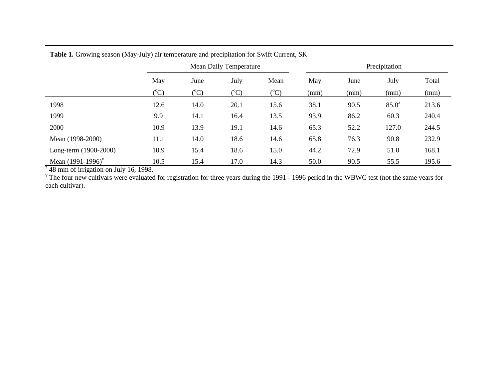|                       |                 |                 | <b>Mean Daily Temperature</b> | Precipitation   |      |      |          |       |
|-----------------------|-----------------|-----------------|-------------------------------|-----------------|------|------|----------|-------|
|                       | May             | June            | July                          | Mean            | May  | June | July     | Total |
|                       | $({}^{\circ}C)$ | $({}^{\circ}C)$ | $({}^{\circ}C)$               | $({}^{\circ}C)$ | (mm) | (mm) | (mm)     | (mm)  |
| 1998                  | 12.6            | 14.0            | 20.1                          | 15.6            | 38.1 | 90.5 | $85.0^z$ | 213.6 |
| 1999                  | 9.9             | 14.1            | 16.4                          | 13.5            | 93.9 | 86.2 | 60.3     | 240.4 |
| 2000                  | 10.9            | 13.9            | 19.1                          | 14.6            | 65.3 | 52.2 | 127.0    | 244.5 |
| Mean (1998-2000)      | 11.1            | 14.0            | 18.6                          | 14.6            | 65.8 | 76.3 | 90.8     | 232.9 |
| Long-term (1900-2000) | 10.9            | 15.4            | 18.6                          | 15.0            | 44.2 | 72.9 | 51.0     | 168.1 |
| Mean $(1991-1996)^y$  | 10.5            | 15.4            | 17.0                          | 14.3            | 50.0 | 90.5 | 55.5     | 195.6 |

each cultivar).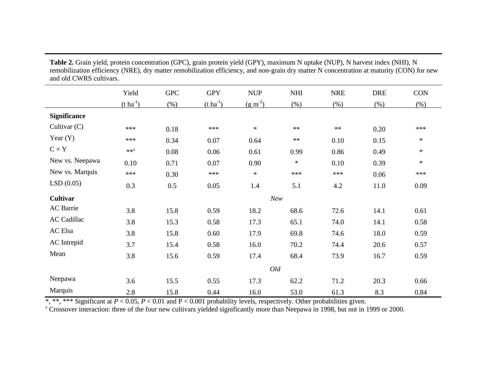**Table 2.** Grain yield, protein concentration (GPC), grain protein yield (GPY), maximum N uptake (NUP), N harvest index (NHI), N remobilization efficiency (NRE), dry matter remobilization efficiency, and non-grain dry matter N concentration at maturity (CON) for new and old CWRS cultivars.

|                     | Yield                 | <b>GPC</b> | <b>GPY</b>            | <b>NUP</b>   | <b>NHI</b> | <b>NRE</b> | <b>DRE</b> | <b>CON</b> |  |
|---------------------|-----------------------|------------|-----------------------|--------------|------------|------------|------------|------------|--|
|                     | $(t \text{ ha}^{-1})$ | (% )       | $(t \text{ ha}^{-1})$ | $(g m^{-2})$ | (% )       | (% )       | (% )       | (% )       |  |
| <b>Significance</b> |                       |            |                       |              |            |            |            |            |  |
| Cultivar $(C)$      | ***                   | 0.18       | ***                   | $\ast$       | $**$       | $\ast\ast$ | 0.20       | ***        |  |
| Year $(Y)$          | ***                   | 0.34       | 0.07                  | 0.64         | $**$       | 0.10       | 0.15       | $\ast$     |  |
| $C \times Y$        | $**^Z$                | 0.08       | 0.06                  | 0.61         | 0.99       | 0.86       | 0.49       | $\ast$     |  |
| New vs. Neepawa     | 0.10                  | 0.71       | 0.07                  | 0.90         | $\ast$     | 0.10       | 0.39       | $\ast$     |  |
| New vs. Marquis     | ***                   | 0.30       | $***$                 | $\ast$       | ***        | ***        | 0.06       | ***        |  |
| LSD(0.05)           | 0.3                   | 0.5        | 0.05                  | 1.4          | 5.1        | 4.2        | 11.0       | 0.09       |  |
| <b>Cultivar</b>     |                       |            |                       | New          |            |            |            |            |  |
| AC Barrie           | 3.8                   | 15.8       | 0.59                  | 18.2         | 68.6       | 72.6       | 14.1       | 0.61       |  |
| <b>AC Cadillac</b>  | 3.8                   | 15.3       | 0.58                  | 17.3         | 65.1       | 74.0       | 14.1       | 0.58       |  |
| AC Elsa             | 3.8                   | 15.8       | 0.60                  | 17.9         | 69.8       | 74.6       | 18.0       | 0.59       |  |
| AC Intrepid         | 3.7                   | 15.4       | 0.58                  | 16.0         | 70.2       | 74.4       | 20.6       | 0.57       |  |
| Mean                | 3.8                   | 15.6       | 0.59                  | 17.4         | 68.4       | 73.9       | 16.7       | 0.59       |  |
|                     |                       | Old        |                       |              |            |            |            |            |  |
| Neepawa             | 3.6                   | 15.5       | 0.55                  | 17.3         | 62.2       | 71.2       | 20.3       | 0.66       |  |
| Marquis             | 2.8                   | 15.8       | 0.44                  | 16.0         | 53.0       | 61.3       | 8.3        | 0.84       |  |

\*, \*\*, \*\*\* Significant at  $P < 0.05$ ,  $P < 0.01$  and  $P < 0.001$  probability levels, respectively. Other probabilities given.<br><sup>z</sup> Crossover interaction: three of the four new cultivars yielded significantly more than Neepawa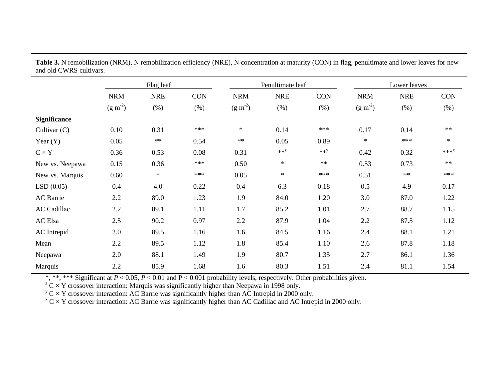|                     | Flag leaf  |            |            | Penultimate leaf |            |            | Lower leaves |            |            |
|---------------------|------------|------------|------------|------------------|------------|------------|--------------|------------|------------|
|                     | <b>NRM</b> | <b>NRE</b> | <b>CON</b> | <b>NRM</b>       | <b>NRE</b> | <b>CON</b> | <b>NRM</b>   | <b>NRE</b> | <b>CON</b> |
|                     | $(g m-2)$  | $(\% )$    | (% )       | $(g m-2)$        | (% )       | (% )       | $(g m-2)$    | (% )       | (% )       |
| <b>Significance</b> |            |            |            |                  |            |            |              |            |            |
| Cultivar $(C)$      | 0.10       | 0.31       | $***$      | $\ast$           | 0.14       | ***        | 0.17         | 0.14       | $**$       |
| Year $(Y)$          | 0.05       | $\ast\ast$ | 0.54       | $\ast\ast$       | 0.05       | 0.89       | $\ast$       | $***$      | $\ast$     |
| $C \times Y$        | 0.36       | 0.53       | 0.08       | 0.31             | $**Z$      | $**Y$      | 0.42         | 0.32       | $***^X$    |
| New vs. Neepawa     | 0.15       | 0.36       | $***$      | 0.50             | $\ast$     | $**$       | 0.53         | 0.73       | $**$       |
| New vs. Marquis     | 0.60       | $\ast$     | $***$      | 0.05             | $\ast$     | ***        | 0.51         | $\ast\ast$ | ***        |
| LSD(0.05)           | 0.4        | 4.0        | 0.22       | 0.4              | 6.3        | 0.18       | 0.5          | 4.9        | 0.17       |
| AC Barrie           | 2.2        | 89.0       | 1.23       | 1.9              | 84.0       | 1.20       | 3.0          | 87.0       | 1.22       |
| <b>AC Cadillac</b>  | 2.2        | 89.1       | 1.11       | 1.7              | 85.2       | 1.01       | 2.7          | 88.7       | 1.15       |
| AC Elsa             | 2.5        | 90.2       | 0.97       | 2.2              | 87.9       | 1.04       | 2.2          | 87.5       | 1.12       |
| AC Intrepid         | 2.0        | 89.5       | 1.16       | 1.6              | 84.5       | 1.16       | 2.4          | 88.1       | 1.21       |
| Mean                | 2.2        | 89.5       | 1.12       | 1.8              | 85.4       | 1.10       | 2.6          | 87.8       | 1.18       |
| Neepawa             | 2.0        | 88.1       | 1.49       | 1.9              | 80.7       | 1.35       | 2.7          | 86.1       | 1.36       |
| Marquis             | 2.2        | 85.9       | 1.68       | 1.6              | 80.3       | 1.51       | 2.4          | 81.1       | 1.54       |

Table 3. N remobilization (NRM), N remobilization efficiency (NRE), N concentration at maturity (CON) in flag, penultimate and lower leaves for new and old CWRS cultivars.

\*, \*\*, \*\*\* Significant at *P* < 0.05, *P* < 0.01 and P < 0.001 probability levels, respectively. Other probabilities given.

 $Z^z$  C  $\times$  Y crossover interaction: Marquis was significantly higher than Neepawa in 1998 only.

 $y^y$  C  $\times$  Y crossover interaction: AC Barrie was significantly higher than AC Intrepid in 2000 only.

 $X \subset X$  crossover interaction: AC Barrie was significantly higher than AC Cadillac and AC Intrepid in 2000 only.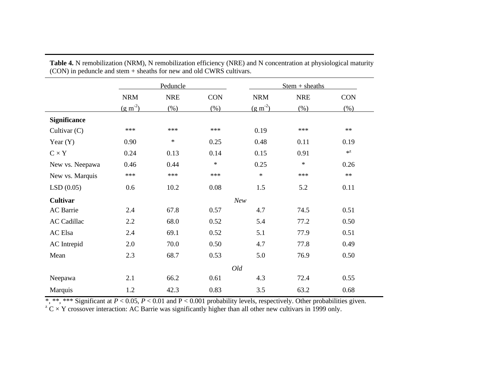|                     |              | Peduncle   |            |              | $Stem + sheaths$ |            |
|---------------------|--------------|------------|------------|--------------|------------------|------------|
|                     | <b>NRM</b>   | <b>NRE</b> | <b>CON</b> | <b>NRM</b>   | <b>NRE</b>       | <b>CON</b> |
|                     | $(g m^{-2})$ | (% )       | (% )       | $(g m^{-2})$ | (% )             | $(\% )$    |
| <b>Significance</b> |              |            |            |              |                  |            |
| Cultivar $(C)$      | ***          | ***        | ***        | 0.19         | ***              | $**$       |
| Year $(Y)$          | 0.90         | $\ast$     | 0.25       | 0.48         | 0.11             | 0.19       |
| $C \times Y$        | 0.24         | 0.13       | 0.14       | 0.15         | 0.91             | $*^z$      |
| New vs. Neepawa     | 0.46         | 0.44       | $\ast$     | 0.25         | $\ast$           | 0.26       |
| New vs. Marquis     | $***$        | ***        | ***        | $\ast$       | $***$            | $\ast\ast$ |
| LSD(0.05)           | 0.6          | 10.2       | 0.08       | 1.5          | 5.2              | 0.11       |
| <b>Cultivar</b>     |              |            |            | New          |                  |            |
| <b>AC</b> Barrie    | 2.4          | 67.8       | 0.57       | 4.7          | 74.5             | 0.51       |
| <b>AC Cadillac</b>  | 2.2          | 68.0       | 0.52       | 5.4          | 77.2             | 0.50       |
| AC Elsa             | 2.4          | 69.1       | 0.52       | 5.1          | 77.9             | 0.51       |
| AC Intrepid         | 2.0          | 70.0       | 0.50       | 4.7          | 77.8             | 0.49       |
| Mean                | 2.3          | 68.7       | 0.53       | 5.0          | 76.9             | 0.50       |
|                     |              |            |            | Old          |                  |            |
| Neepawa             | 2.1          | 66.2       | 0.61       | 4.3          | 72.4             | 0.55       |
| Marquis             | 1.2          | 42.3       | 0.83       | 3.5          | 63.2             | 0.68       |

**Table 4.** N remobilization (NRM), N remobilization efficiency (NRE) and N concentration at physiological maturity (CON) in peduncle and stem + sheaths for new and old CWRS cultivars.

\*, \*\*, \*\*\* Significant at *P* < 0.05, *P* < 0.01 and P < 0.001 probability levels, respectively. Other probabilities given.

 $Z^z$  C  $\times$  Y crossover interaction: AC Barrie was significantly higher than all other new cultivars in 1999 only.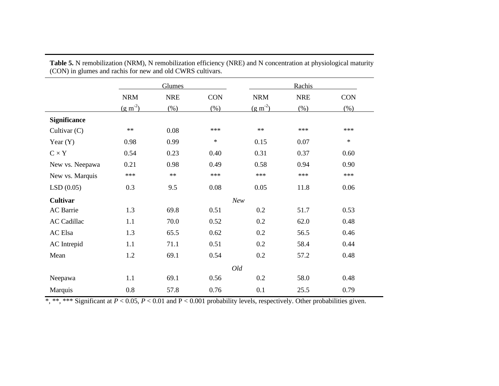|                     | Glumes       |            |            | Rachis       |            |            |  |
|---------------------|--------------|------------|------------|--------------|------------|------------|--|
|                     | <b>NRM</b>   | <b>NRE</b> | <b>CON</b> | <b>NRM</b>   | <b>NRE</b> | <b>CON</b> |  |
|                     | $(g m^{-2})$ | (% )       | (% )       | $(g m^{-2})$ | (% )       | (% )       |  |
| <b>Significance</b> |              |            |            |              |            |            |  |
| Cultivar (C)        | $\ast\ast$   | 0.08       | $***$      | $**$         | ***        | ***        |  |
| Year $(Y)$          | 0.98         | 0.99       | $\ast$     | 0.15         | 0.07       | $\ast$     |  |
| $C \times Y$        | 0.54         | 0.23       | 0.40       | 0.31         | 0.37       | 0.60       |  |
| New vs. Neepawa     | 0.21         | 0.98       | 0.49       | 0.58         | 0.94       | 0.90       |  |
| New vs. Marquis     | ***          | $\ast\ast$ | ***        | ***          | ***        | ***        |  |
| LSD(0.05)           | 0.3          | 9.5        | 0.08       | 0.05         | 11.8       | 0.06       |  |
| <b>Cultivar</b>     |              |            |            | New          |            |            |  |
| AC Barrie           | 1.3          | 69.8       | 0.51       | 0.2          | 51.7       | 0.53       |  |
| <b>AC Cadillac</b>  | 1.1          | 70.0       | 0.52       | 0.2          | 62.0       | 0.48       |  |
| AC Elsa             | 1.3          | 65.5       | 0.62       | 0.2          | 56.5       | 0.46       |  |
| AC Intrepid         | 1.1          | 71.1       | 0.51       | 0.2          | 58.4       | 0.44       |  |
| Mean                | 1.2          | 69.1       | 0.54       | 0.2          | 57.2       | 0.48       |  |
|                     |              |            |            | Old          |            |            |  |
| Neepawa             | 1.1          | 69.1       | 0.56       | 0.2          | 58.0       | 0.48       |  |
| Marquis             | 0.8          | 57.8       | 0.76       | 0.1          | 25.5       | 0.79       |  |

**Table 5.** N remobilization (NRM), N remobilization efficiency (NRE) and N concentration at physiological maturity (CON) in glumes and rachis for new and old CWRS cultivars.

\*, \*\*, \*\*\* Significant at *P* < 0.05, *P* < 0.01 and P < 0.001 probability levels, respectively. Other probabilities given.